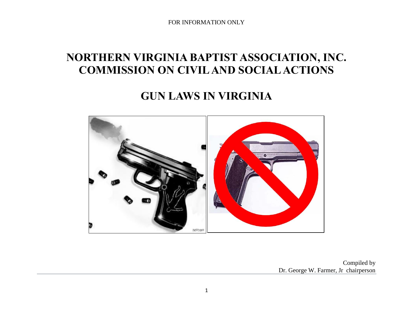# **NORTHERN VIRGINIA BAPTIST ASSOCIATION, INC. COMMISSION ON CIVIL AND SOCIAL ACTIONS**

# **GUN LAWS IN VIRGINIA**



Compiled by Dr. George W. Farmer, Jr chairperson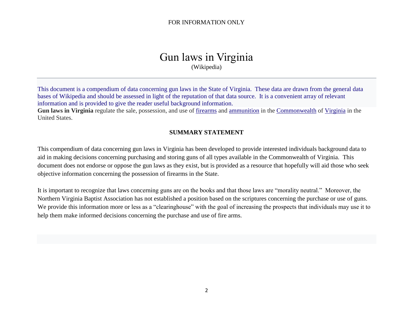# Gun laws in Virginia (Wikipedia)

This document is a compendium of data concerning gun laws in the State of Virginia. These data are drawn from the general data bases of Wikipedia and should be assessed in light of the reputation of that data source. It is a convenient array of relevant information and is provided to give the reader useful background information.

**Gun laws in Virginia** regulate the sale, possession, and use of [firearms](https://en.wikipedia.org/wiki/Firearm) and [ammunition](https://en.wikipedia.org/wiki/Ammunition) in the [Commonwealth](https://en.wikipedia.org/wiki/Commonwealth_(U.S._state)) of [Virginia](https://en.wikipedia.org/wiki/Virginia) in the United States.

## **SUMMARY STATEMENT**

This compendium of data concerning gun laws in Virginia has been developed to provide interested individuals background data to aid in making decisions concerning purchasing and storing guns of all types available in the Commonwealth of Virginia. This document does not endorse or oppose the gun laws as they exist, but is provided as a resource that hopefully will aid those who seek objective information concerning the possession of firearms in the State.

It is important to recognize that laws concerning guns are on the books and that those laws are "morality neutral." Moreover, the Northern Virginia Baptist Association has not established a position based on the scriptures concerning the purchase or use of guns. We provide this information more or less as a "clearinghouse" with the goal of increasing the prospects that individuals may use it to help them make informed decisions concerning the purchase and use of fire arms.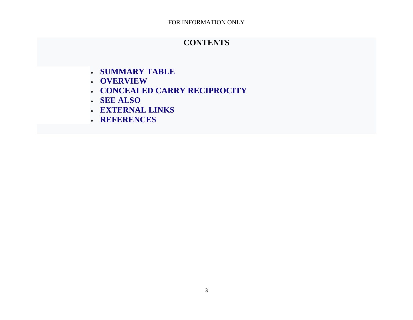# **CONTENTS**

- **[SUMMARY TABLE](https://en.wikipedia.org/wiki/Gun_laws_in_Virginia#Summary_table)**
- **[OVERVIEW](https://en.wikipedia.org/wiki/Gun_laws_in_Virginia#Overview)**
- **[CONCEALED CARRY RECIPROCITY](https://en.wikipedia.org/wiki/Gun_laws_in_Virginia#Concealed_carry_reciprocity)**
- **[SEE ALSO](https://en.wikipedia.org/wiki/Gun_laws_in_Virginia#See_also)**
- **[EXTERNAL LINKS](https://en.wikipedia.org/wiki/Gun_laws_in_Virginia#External_links)**
- **[REFERENCES](https://en.wikipedia.org/wiki/Gun_laws_in_Virginia#References)**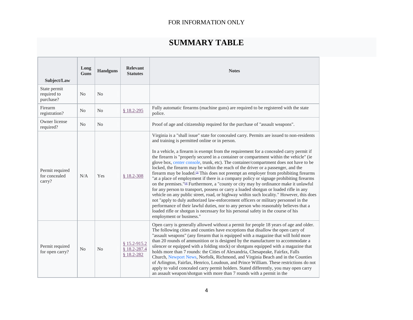# **SUMMARY TABLE**

| Subject/Law                                | Long<br>Guns   | <b>Handguns</b> | <b>Relevant</b><br><b>Statutes</b>             | <b>Notes</b>                                                                                                                                                                                                                                                                                                                                                                                                                                                                                                                                                                                                                                                                                                                                                                                                                                                                                                                                                                                                                                                                                                                                                                                                                                                                                            |
|--------------------------------------------|----------------|-----------------|------------------------------------------------|---------------------------------------------------------------------------------------------------------------------------------------------------------------------------------------------------------------------------------------------------------------------------------------------------------------------------------------------------------------------------------------------------------------------------------------------------------------------------------------------------------------------------------------------------------------------------------------------------------------------------------------------------------------------------------------------------------------------------------------------------------------------------------------------------------------------------------------------------------------------------------------------------------------------------------------------------------------------------------------------------------------------------------------------------------------------------------------------------------------------------------------------------------------------------------------------------------------------------------------------------------------------------------------------------------|
| State permit<br>required to<br>purchase?   | N <sub>o</sub> | N <sub>o</sub>  |                                                |                                                                                                                                                                                                                                                                                                                                                                                                                                                                                                                                                                                                                                                                                                                                                                                                                                                                                                                                                                                                                                                                                                                                                                                                                                                                                                         |
| Firearm<br>registration?                   | N <sub>0</sub> | N <sub>o</sub>  | $$18.2-295$                                    | Fully automatic firearms (machine guns) are required to be registered with the state<br>police.                                                                                                                                                                                                                                                                                                                                                                                                                                                                                                                                                                                                                                                                                                                                                                                                                                                                                                                                                                                                                                                                                                                                                                                                         |
| Owner license<br>required?                 | N <sub>o</sub> | $\rm No$        |                                                | Proof of age and citizenship required for the purchase of "assault weapons".                                                                                                                                                                                                                                                                                                                                                                                                                                                                                                                                                                                                                                                                                                                                                                                                                                                                                                                                                                                                                                                                                                                                                                                                                            |
| Permit required<br>for concealed<br>carry? | N/A            | Yes             | $$18.2-308$                                    | Virginia is a "shall issue" state for concealed carry. Permits are issued to non-residents<br>and training is permitted online or in person.<br>In a vehicle, a firearm is exempt from the requirement for a concealed carry permit if<br>the firearm is "properly secured in a container or compartment within the vehicle" (ie<br>glove box, center console, trunk, etc). The container/compartment does not have to be<br>locked, the firearm may be within the reach of the driver or a passenger, and the<br>firearm may be loaded. <sup>[3]</sup> This does not preempt an employer from prohibiting firearms<br>"at a place of employment if there is a company policy or signage prohibiting firearms<br>on the premises." <sup>[4]</sup> Furthermore, a "county or city may by ordinance make it unlawful<br>for any person to transport, possess or carry a loaded shotgun or loaded rifle in any<br>vehicle on any public street, road, or highway within such locality." However, this does<br>not "apply to duly authorized law-enforcement officers or military personnel in the<br>performance of their lawful duties, nor to any person who reasonably believes that a<br>loaded rifle or shotgun is necessary for his personal safety in the course of his<br>employment or business." |
| Permit required<br>for open carry?         | N <sub>o</sub> | N <sub>o</sub>  | $$15.2-915.2$<br>$$18.2 - 287.4$<br>§ 18.2-282 | Open carry is generally allowed without a permit for people 18 years of age and older.<br>The following cities and counties have exceptions that disallow the open carry of<br>"assault weapons" (any firearm that is equipped with a magazine that will hold more<br>than 20 rounds of ammunition or is designed by the manufacturer to accommodate a<br>silencer or equipped with a folding stock) or shotguns equipped with a magazine that<br>holds more than 7 rounds: the Cities of Alexandria, Chesapeake, Fairfax, Falls<br>Church, Newport News, Norfolk, Richmond, and Virginia Beach and in the Counties<br>of Arlington, Fairfax, Henrico, Loudoun, and Prince William. These restrictions do not<br>apply to valid concealed carry permit holders. Stated differently, you may open carry<br>an assault weapon/shotgun with more than 7 rounds with a permit in the                                                                                                                                                                                                                                                                                                                                                                                                                        |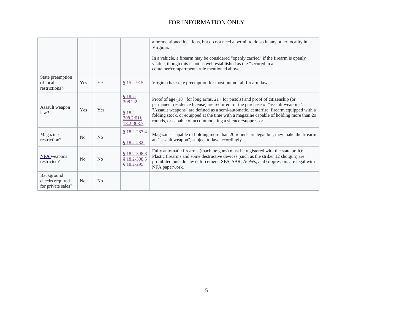|                                                     |                |                |                                                            | aforementioned locations, but do not need a permit to do so in any other locality in<br>Virginia.<br>In a vehicle, a firearm may be considered "openly carried" if the firearm is openly                                                                                                                                                                                                                                   |
|-----------------------------------------------------|----------------|----------------|------------------------------------------------------------|----------------------------------------------------------------------------------------------------------------------------------------------------------------------------------------------------------------------------------------------------------------------------------------------------------------------------------------------------------------------------------------------------------------------------|
|                                                     |                |                |                                                            | visible, though this is not as well established as the "secured in a<br>container/compartment" rule mentioned above.                                                                                                                                                                                                                                                                                                       |
| State preemption<br>of local<br>restrictions?       | Yes            | Yes            | $$15.2-915$                                                | Virginia has state preemption for most but not all firearm laws.                                                                                                                                                                                                                                                                                                                                                           |
| Assault weapon<br>law?                              | Yes            | Yes            | $$18.2-$<br>308.2:2<br>$$18.2-$<br>308.2:018<br>18.2-308.7 | Proof of age $(18 +$ for long arms, $21 +$ for pistols) and proof of citizenship (or<br>permanent residence license) are required for the purchase of "assault weapons".<br>"Assault weapons" are defined as a semi-automatic, centerfire, firearm equipped with a<br>folding stock, or equipped at the time with a magazine capable of holding more than 20<br>rounds, or capable of accommodating a silencer/suppressor. |
| Magazine<br>restriction?                            | N <sub>o</sub> | N <sub>o</sub> | $$18.2 - 287.4$<br>$$18.2-282.$                            | Magazines capable of holding more than 20 rounds are legal but, they make the firearm<br>an "assault weapon", subject to law accordingly.                                                                                                                                                                                                                                                                                  |
| <b>NFA</b> weapons<br>restricted?                   | N <sub>o</sub> | N <sub>o</sub> | $$18.2 - 308.8$<br>$$18.2 - 308.5$<br>$$18.2-295$          | Fully automatic firearms (machine guns) must be registered with the state police.<br>Plastic firearms and some destructive devices (such as the striker 12 shotgun) are<br>prohibited outside law enforcement. SBS, SBR, AOWs, and suppressors are legal with<br>NFA paperwork.                                                                                                                                            |
| Background<br>checks required<br>for private sales? | N <sub>0</sub> | N <sub>o</sub> |                                                            |                                                                                                                                                                                                                                                                                                                                                                                                                            |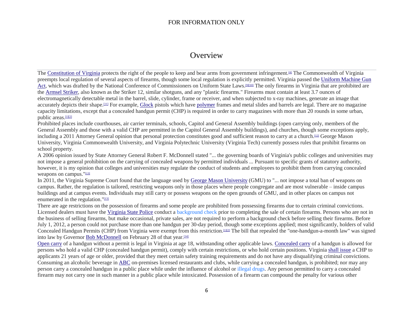# **Overview**

The [Constitution of Virginia](https://en.wikipedia.org/wiki/Constitution_of_Virginia) protects the right of the people to keep and bear arms from government infringement.[\[8\]](https://en.wikipedia.org/wiki/Gun_laws_in_Virginia#cite_note-va-constitution-8) The Commonwealth of Virginia preempts local regulation of several aspects of firearms, though some local regulation is explicitly permitted. Virginia passed the [Uniform Machine Gun](https://en.wikipedia.org/wiki/Uniform_Machine_Gun_Act)  [Act,](https://en.wikipedia.org/wiki/Uniform_Machine_Gun_Act) which was drafted by the National Conference of Commissioners on Uniform State Laws.<sup>[\[9\]\[10\]](https://en.wikipedia.org/wiki/Gun_laws_in_Virginia#cite_note-saf-nccusl-umga-9)</sup> The only firearms in Virginia that are prohibited are the [Armsel Striker,](https://en.wikipedia.org/wiki/Armsel_Striker) also known as the Striker 12, similar shotguns, and any "plastic firearms." Firearms must contain at least 3.7 ounces of electromagnetically detectable metal in the barrel, slide, cylinder, frame or receiver, and when subjected to x-ray machines, generate an image that accurately depicts their shape.[\[11\]](https://en.wikipedia.org/wiki/Gun_laws_in_Virginia#cite_note-18.2-308.5-11) For example, [Glock](https://en.wikipedia.org/wiki/Glock) pistols which have [polymer](https://en.wikipedia.org/wiki/Polymer) frames and metal slides and barrels are legal. There are no magazine capacity limitations, except that a concealed handgun permit (CHP) is required in order to carry magazines with more than 20 rounds in some urban, public areas.<sup>[\[1\]\[2\]](https://en.wikipedia.org/wiki/Gun_laws_in_Virginia#cite_note-NRA-ILA-VA-1)</sup>

Prohibited places include courthouses, air carrier terminals, schools, Capitol and General Assembly buildings (open carrying only, members of the General Assembly and those with a valid CHP are permitted in the Capitol General Assembly buildings), and churches, though some exceptions apply, including a 2011 Attorney General opinion that personal protection constitutes good and sufficient reason to carry at a church.<sup>[\[12\]](https://en.wikipedia.org/wiki/Gun_laws_in_Virginia#cite_note-12)</sup> George Mason University, Virginia Commonwealth University, and Virginia Polytechnic University (Virginia Tech) currently possess rules that prohibit firearms on school property.

A 2006 opinion issued by State Attorney General Robert F. McDonnell stated "... the governing boards of Virginia's public colleges and universities may not impose a general prohibition on the carrying of concealed weapons by permitted individuals ... Pursuant to specific grants of statutory authority, however, it is my opinion that colleges and universities may regulate the conduct of students and employees to prohibit them from carrying concealed weapons on campus."[\[13\]](https://en.wikipedia.org/wiki/Gun_laws_in_Virginia#cite_note-conc-13)

In 2011, the Virginia Supreme Court found that the language used by [George Mason University](https://en.wikipedia.org/wiki/George_Mason_University) (GMU) to "... not impose a total ban of weapons on campus. Rather, the regulation is tailored, restricting weapons only in those places where people congregate and are most vulnerable – inside campus buildings and at campus events. Individuals may still carry or possess weapons on the open grounds of GMU, and in other places on campus not enumerated in the regulation."[\[13\]](https://en.wikipedia.org/wiki/Gun_laws_in_Virginia#cite_note-conc-13)

There are age restrictions on the possession of firearms and some people are prohibited from possessing firearms due to certain criminal convictions. Licensed dealers must have the [Virginia State Police](https://en.wikipedia.org/wiki/Virginia_State_Police) conduct a background check prior to completing the sale of certain firearms. Persons who are not in the business of selling firearms, but make occasional, private sales, are not required to perform a background check before selling their firearms. Before July 1, 2012, a person could not purchase more than one handgun per 30-day period, though some exceptions applied; most significantly, holders of valid Concealed Handgun Permits (CHP) from Virginia were exempt from this restriction.<sup>[\[1\]\[2\]](https://en.wikipedia.org/wiki/Gun_laws_in_Virginia#cite_note-NRA-ILA-VA-1)</sup> The bill that repealed the "one-handgun-a-month law" was signed into law by Governor [Bob McDonnell](https://en.wikipedia.org/wiki/Bob_McDonnell) on February 28 of that year.<sup>[\[14\]](https://en.wikipedia.org/wiki/Gun_laws_in_Virginia#cite_note-One-gun_repeal-14)</sup>

[Open carry](https://en.wikipedia.org/wiki/Open_carry) of a handgun without a permit is legal in Virginia at age 18, withstanding other applicable laws. [Concealed carry](https://en.wikipedia.org/wiki/Concealed_carry) of a handgun is allowed for persons who hold a valid CHP (concealed handgun permit), comply with certain restrictions, or who hold certain positions. Virginia [shall issue](https://en.wikipedia.org/wiki/Shall_issue) a CHP to applicants 21 years of age or older, provided that they meet certain safety training requirements and do not have any disqualifying criminal convictions. Consuming an alcoholic beverage in **[ABC](https://en.wikipedia.org/wiki/Alcohol_Beverage_Control_States)** on-premises licensed restaurants and clubs, while carrying a concealed handgun, is prohibited; nor may any person carry a concealed handgun in a public place while under the influence of alcohol or illegal drugs. Any person permitted to carry a concealed firearm may not carry one in such manner in a public place while intoxicated. Possession of a firearm can compound the penalty for various other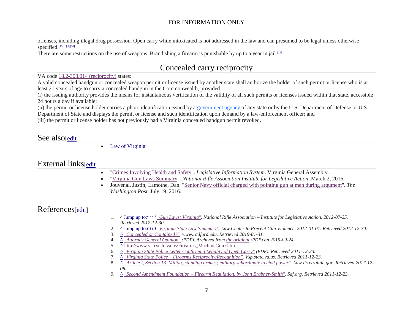offenses, including illegal drug possession. Open carry while intoxicated is not addressed in the law and can presumed to be legal unless otherwise specified.<sup>[\[15\]\[1\]\[](https://en.wikipedia.org/wiki/Gun_laws_in_Virginia#cite_note-15)[2\]\[16\]](https://en.wikipedia.org/wiki/Gun_laws_in_Virginia#cite_note-LCAV-VA-2)</sup>

There are some restrictions on the use of weapons. Brandishing a firearm is punishable by up to a year in jail. $\mu$ <sup>171</sup>

# Concealed carry reciprocity

#### VA code [18.2-308.014 \(reciprocity\)](https://law.justia.com/codes/virginia/2014/title-18.2/section-18.2-308.014/) states:

A valid concealed handgun or concealed weapon permit or license issued by another state shall authorize the holder of such permit or license who is at least 21 years of age to carry a concealed handgun in the Commonwealth, provided

(i) the issuing authority provides the means for instantaneous verification of the validity of all such permits or licenses issued within that state, accessible 24 hours a day if available;

(ii) the permit or license holder carries a photo identification issued by a government agency of any state or by the U.S. Department of Defense or U.S. Department of State and displays the permit or license and such identification upon demand by a law-enforcement officer; and

(iii) the permit or license holder has not previously had a Virginia concealed handgun permit revoked.

# See also[\[edit\]](https://en.wikipedia.org/w/index.php?title=Gun_laws_in_Virginia&action=edit§ion=4)

• [Law of Virginia](https://en.wikipedia.org/wiki/Law_of_Virginia)

# External links[\[edit\]](https://en.wikipedia.org/w/index.php?title=Gun_laws_in_Virginia&action=edit§ion=5)

- ["Crimes Involving Health and Safety".](https://law.lis.virginia.gov/vacode/title18.2/chapter7/) *Legislative Information System*. Virginia General Assembly.
- ["Virginia Gun Laws Summary"](https://www.nraila.org/gun-laws/state-gun-laws/virginia/). *National Rifle Association Institute for Legislative Action*. March 2, 2016.
- Jouvenal, Justin; Lamothe, Dan. ["Senior Navy official charged with pointing gun at men during argument"](https://www.washingtonpost.com/local/public-safety/senior-navy-official-charged-for-allegedly-pointing-gun-at-men-during-argument/2016/07/19/9b231ad4-4dc7-11e6-aa14-e0c1087f7583_story.html?wpisrc=nl_buzz&wpmm=1). *The Washington Post*. July 19, 2016.

# References[\[edit\]](https://en.wikipedia.org/w/index.php?title=Gun_laws_in_Virginia&action=edit§ion=6)

|    | 1. A Jump up to: $4 \times 4$ "Gun Laws: Virginia". National Rifle Association – Institute for Legislative Action. 2012-07-25.                         |
|----|--------------------------------------------------------------------------------------------------------------------------------------------------------|
|    | Retrieved 2012-12-30.                                                                                                                                  |
|    | 2. ^ Jump up to: <sup><i>a</i> b <i>a</i> d''Virginia State Law Summary''. Law Center to Prevent Gun Violence. 2012-01-01. Retrieved 2012-12-30.</sup> |
|    | 3. <u>^ "Concealed or Contained?"</u> . www.radford.edu. Retrieved 2019-01-31.                                                                         |
| 4. | A "Attorney General Opinion" (PDF). Archived from the original (PDF) on 2015-09-24.                                                                    |
|    | 5. <u>A http://www.vsp.state.va.us/Firearms_MachineGun.shtm</u>                                                                                        |
|    | 6. <u>^ "Virginia State Police Letter Confirming Legality of Open Carry"</u> (PDF). Retrieved 2011-12-23.                                              |
|    | <u>A "Virginia State Police – Firearms Reciprocity/Recognition"</u> . Vsp.state.va.us. Retrieved 2011-12-23.                                           |
|    | A "Article I, Section 13. Militia; standing armies; military subordinate to civil power". Law.lis.virginia.gov. Retrieved 2017-12-<br>8.               |
|    | 08.                                                                                                                                                    |
|    | A "Second Amendment Foundation – Firearm Regulation, by John Brabner-Smith". Saf.org. Retrieved 2011-12-23.                                            |
|    |                                                                                                                                                        |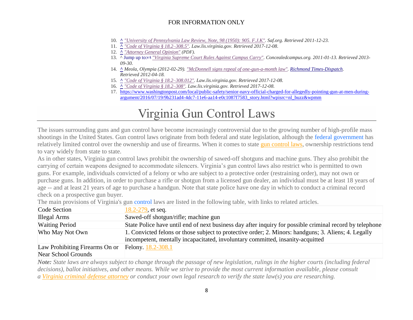- 10. **[^](https://en.wikipedia.org/wiki/Gun_laws_in_Virginia#cite_ref-saf-va-umga_10-0)** *["University of Pennsylvania Law Review, Note, 98 \(1950\): 905. F.J.K".](http://www.saf.org/LawReviews/FJK.htm) Saf.org. Retrieved 2011-12-23.*
- 11. **[^](https://en.wikipedia.org/wiki/Gun_laws_in_Virginia#cite_ref-18.2-308.5_11-0)** *["Code of Virginia § 18.2–308.5".](https://law.lis.virginia.gov/vacode/title18.2/chapter7/section18.2-308.5/) Law.lis.virginia.gov. Retrieved 2017-12-08.*
- 12. **[^](https://en.wikipedia.org/wiki/Gun_laws_in_Virginia#cite_ref-12)** *["Attorney General Opinion"](http://www.oag.state.va.us/Opinions%20and%20Legal%20Resources/Opinions/2011opns/11-043%20cole.pdf) (PDF).*
- 13. ^ [Jump up to:](https://en.wikipedia.org/wiki/Gun_laws_in_Virginia#cite_ref-conc_13-0)*<sup>a</sup> [b](https://en.wikipedia.org/wiki/Gun_laws_in_Virginia#cite_ref-conc_13-1) ["Virginia Supreme Court Rules Against Campus Carry".](http://concealedcampus.org/2011/01/breaking-virginia-supreme-court-rules-against-campus-carry/) Concealedcampus.org. 2011-01-13. Retrieved 2013- 09-30.*
- 14. **[^](https://en.wikipedia.org/wiki/Gun_laws_in_Virginia#cite_ref-One-gun_repeal_14-0)** *Meola, Olympia (2012-02-29). ["McDonnell signs repeal of one-gun-a-month law".](http://www2.timesdispatch.com/news/virginia-politics/2012/feb/29/tdmain01-mcdonnell-signs-repeal-of-one-gun-a-month-ar-1727951/) [Richmond Times-Dispatch.](https://en.wikipedia.org/wiki/Richmond_Times-Dispatch) Retrieved 2012-04-18.*
- 15. **[^](https://en.wikipedia.org/wiki/Gun_laws_in_Virginia#cite_ref-15)** *["Code of Virginia § 18.2–308.012".](https://law.lis.virginia.gov/vacode/title18.2/chapter7/section18.2-308.012/) Law.lis.virginia.gov. Retrieved 2017-12-08.*
- 16. **[^](https://en.wikipedia.org/wiki/Gun_laws_in_Virginia#cite_ref-16)** *["Code of Virginia § 18.2–308".](https://law.lis.virginia.gov/vacode/title18.2/chapter7/section18.2-308/) Law.lis.virginia.gov. Retrieved 2017-12-08.*
- 17. [https://www.washingtonpost.com/local/public-safety/senior-navy-official-charged-for-allegedly-pointing-gun-at-men-during](https://www.washingtonpost.com/local/public-safety/senior-navy-official-charged-for-allegedly-pointing-gun-at-men-during-argument/2016/07/19/9b231ad4-4dc7-11e6-aa14-e0c1087f7583_story.html?wpisrc=nl_buzz&wpmm)[argument/2016/07/19/9b231ad4-4dc7-11e6-aa14-e0c1087f7583\\_story.html?wpisrc=nl\\_buzz&wpmm](https://www.washingtonpost.com/local/public-safety/senior-navy-official-charged-for-allegedly-pointing-gun-at-men-during-argument/2016/07/19/9b231ad4-4dc7-11e6-aa14-e0c1087f7583_story.html?wpisrc=nl_buzz&wpmm)

# Virginia Gun Control Laws

The issues surrounding guns and gun control have become increasingly controversial due to the growing number of high-profile mass shootings in the United States. Gun control laws originate from both federal and state legislation, although the federal government has relatively limited control over the ownership and use of firearms. When it comes to state [gun control laws,](https://statelaws.findlaw.com/criminal-laws/details-on-state-gun-control-laws.html) ownership restrictions tend to vary widely from state to state.

As in other states, Virginia gun control laws prohibit the ownership of sawed-off shotguns and machine guns. They also prohibit the carrying of certain weapons designed to accommodate silencers. Virginia's gun control laws also restrict who is permitted to own guns. For example, individuals convicted of a felony or who are subject to a protective order (restraining order), may not own or purchase guns. In addition, in order to purchase a rifle or shotgun from a licensed gun dealer, an individual must be at least 18 years of age -- and at least 21 years of age to purchase a handgun. Note that state police have one day in which to conduct a criminal record check on a prospective gun buyer.

The main provisions of Virginia's gun control laws are listed in the following table, with links to related articles.

| Code Section                              | 18.2-279, et seq.                                                                                                                                                                      |
|-------------------------------------------|----------------------------------------------------------------------------------------------------------------------------------------------------------------------------------------|
| Illegal Arms                              | Sawed-off shotgun/rifle; machine gun                                                                                                                                                   |
| <b>Waiting Period</b>                     | State Police have until end of next business day after inquiry for possible criminal record by telephone                                                                               |
| Who May Not Own                           | 1. Convicted felons or those subject to protective order; 2. Minors: handguns; 3. Aliens; 4. Legally<br>incompetent, mentally incapacitated, involuntary committed, insanity-acquitted |
| $\mathbf{r}$ m in the set of $\mathbf{r}$ |                                                                                                                                                                                        |

Law Prohibiting Firearms On or Felony. [18.2-308.1](https://codes.findlaw.com/va/title-18-2-crimes-and-offenses-generally/va-code-sect-18-2-308-1.html) Near School Grounds

*Note: State laws are always subject to change through the passage of new legislation, rulings in the higher courts (including federal decisions), ballot initiatives, and other means. While we strive to provide the most current information available, please consult a [Virginia criminal defense attorney](https://lawyers.findlaw.com/lawyer/practicestate/criminal-law/Virginia) or conduct your own legal research to verify the state law(s) you are researching.*